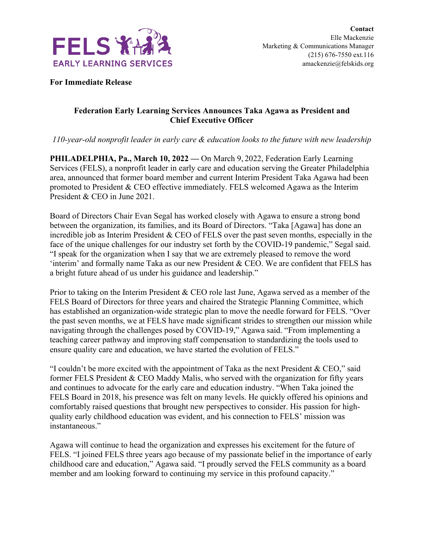

**For Immediate Release**

## **Federation Early Learning Services Announces Taka Agawa as President and Chief Executive Officer**

*110-year-old nonprofit leader in early care & education looks to the future with new leadership*

**PHILADELPHIA, Pa., March 10, 2022 —** On March 9, 2022, Federation Early Learning Services (FELS), a nonprofit leader in early care and education serving the Greater Philadelphia area, announced that former board member and current Interim President Taka Agawa had been promoted to President & CEO effective immediately. FELS welcomed Agawa as the Interim President & CEO in June 2021.

Board of Directors Chair Evan Segal has worked closely with Agawa to ensure a strong bond between the organization, its families, and its Board of Directors. "Taka [Agawa] has done an incredible job as Interim President & CEO of FELS over the past seven months, especially in the face of the unique challenges for our industry set forth by the COVID-19 pandemic," Segal said. "I speak for the organization when I say that we are extremely pleased to remove the word 'interim' and formally name Taka as our new President & CEO. We are confident that FELS has a bright future ahead of us under his guidance and leadership."

Prior to taking on the Interim President & CEO role last June, Agawa served as a member of the FELS Board of Directors for three years and chaired the Strategic Planning Committee, which has established an organization-wide strategic plan to move the needle forward for FELS. "Over the past seven months, we at FELS have made significant strides to strengthen our mission while navigating through the challenges posed by COVID-19," Agawa said. "From implementing a teaching career pathway and improving staff compensation to standardizing the tools used to ensure quality care and education, we have started the evolution of FELS."

"I couldn't be more excited with the appointment of Taka as the next President & CEO," said former FELS President & CEO Maddy Malis, who served with the organization for fifty years and continues to advocate for the early care and education industry. "When Taka joined the FELS Board in 2018, his presence was felt on many levels. He quickly offered his opinions and comfortably raised questions that brought new perspectives to consider. His passion for highquality early childhood education was evident, and his connection to FELS' mission was instantaneous."

Agawa will continue to head the organization and expresses his excitement for the future of FELS. "I joined FELS three years ago because of my passionate belief in the importance of early childhood care and education," Agawa said. "I proudly served the FELS community as a board member and am looking forward to continuing my service in this profound capacity."